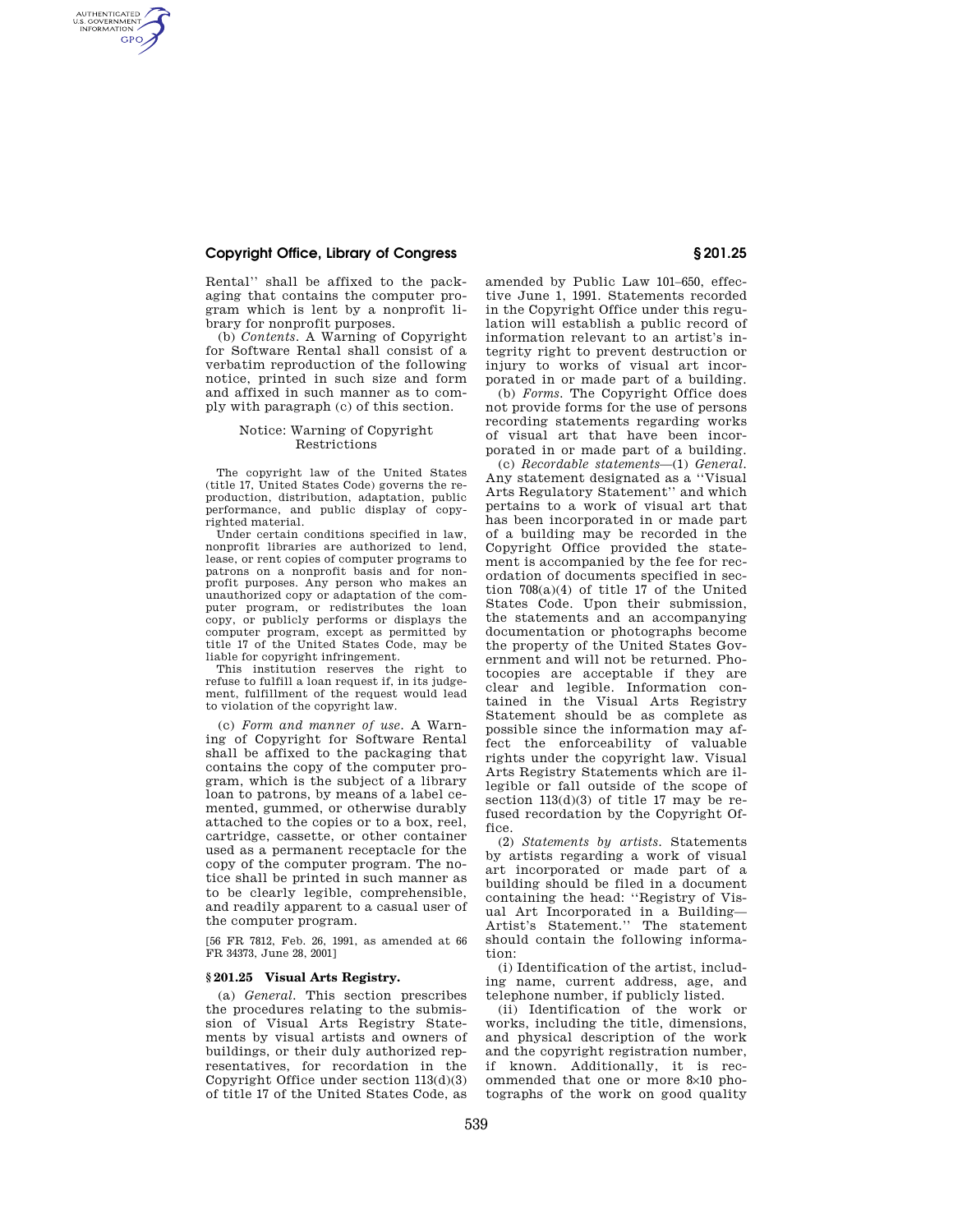## **Copyright Office, Library of Congress § 201.25**

AUTHENTICATED<br>U.S. GOVERNMENT<br>INFORMATION **GPO** 

> Rental'' shall be affixed to the packaging that contains the computer program which is lent by a nonprofit library for nonprofit purposes.

> (b) *Contents.* A Warning of Copyright for Software Rental shall consist of a verbatim reproduction of the following notice, printed in such size and form and affixed in such manner as to comply with paragraph (c) of this section.

### Notice: Warning of Copyright Restrictions

The copyright law of the United States (title 17, United States Code) governs the reproduction, distribution, adaptation, public performance, and public display of copyrighted material.

Under certain conditions specified in law, nonprofit libraries are authorized to lend, lease, or rent copies of computer programs to patrons on a nonprofit basis and for nonprofit purposes. Any person who makes an unauthorized copy or adaptation of the computer program, or redistributes the loan copy, or publicly performs or displays the computer program, except as permitted by title 17 of the United States Code, may be liable for copyright infringement.

This institution reserves the right to refuse to fulfill a loan request if, in its judgement, fulfillment of the request would lead to violation of the copyright law.

(c) *Form and manner of use.* A Warning of Copyright for Software Rental shall be affixed to the packaging that contains the copy of the computer program, which is the subject of a library loan to patrons, by means of a label cemented, gummed, or otherwise durably attached to the copies or to a box, reel, cartridge, cassette, or other container used as a permanent receptacle for the copy of the computer program. The notice shall be printed in such manner as to be clearly legible, comprehensible, and readily apparent to a casual user of the computer program.

[56 FR 7812, Feb. 26, 1991, as amended at 66 FR 34373, June 28, 2001]

## **§ 201.25 Visual Arts Registry.**

(a) *General.* This section prescribes the procedures relating to the submission of Visual Arts Registry Statements by visual artists and owners of buildings, or their duly authorized representatives, for recordation in the Copyright Office under section 113(d)(3) of title 17 of the United States Code, as

amended by Public Law 101–650, effective June 1, 1991. Statements recorded in the Copyright Office under this regulation will establish a public record of information relevant to an artist's integrity right to prevent destruction or injury to works of visual art incorporated in or made part of a building.

(b) *Forms.* The Copyright Office does not provide forms for the use of persons recording statements regarding works of visual art that have been incorporated in or made part of a building.

(c) *Recordable statements*—(1) *General.*  Any statement designated as a ''Visual Arts Regulatory Statement'' and which pertains to a work of visual art that has been incorporated in or made part of a building may be recorded in the Copyright Office provided the statement is accompanied by the fee for recordation of documents specified in section 708(a)(4) of title 17 of the United States Code. Upon their submission, the statements and an accompanying documentation or photographs become the property of the United States Government and will not be returned. Photocopies are acceptable if they are clear and legible. Information contained in the Visual Arts Registry Statement should be as complete as possible since the information may affect the enforceability of valuable rights under the copyright law. Visual Arts Registry Statements which are illegible or fall outside of the scope of section  $113(d)(3)$  of title 17 may be refused recordation by the Copyright Office.

(2) *Statements by artists.* Statements by artists regarding a work of visual art incorporated or made part of a building should be filed in a document containing the head: ''Registry of Visual Art Incorporated in a Building— Artist's Statement.'' The statement should contain the following information:

(i) Identification of the artist, including name, current address, age, and telephone number, if publicly listed.

(ii) Identification of the work or works, including the title, dimensions, and physical description of the work and the copyright registration number, if known. Additionally, it is recommended that one or more 8×10 photographs of the work on good quality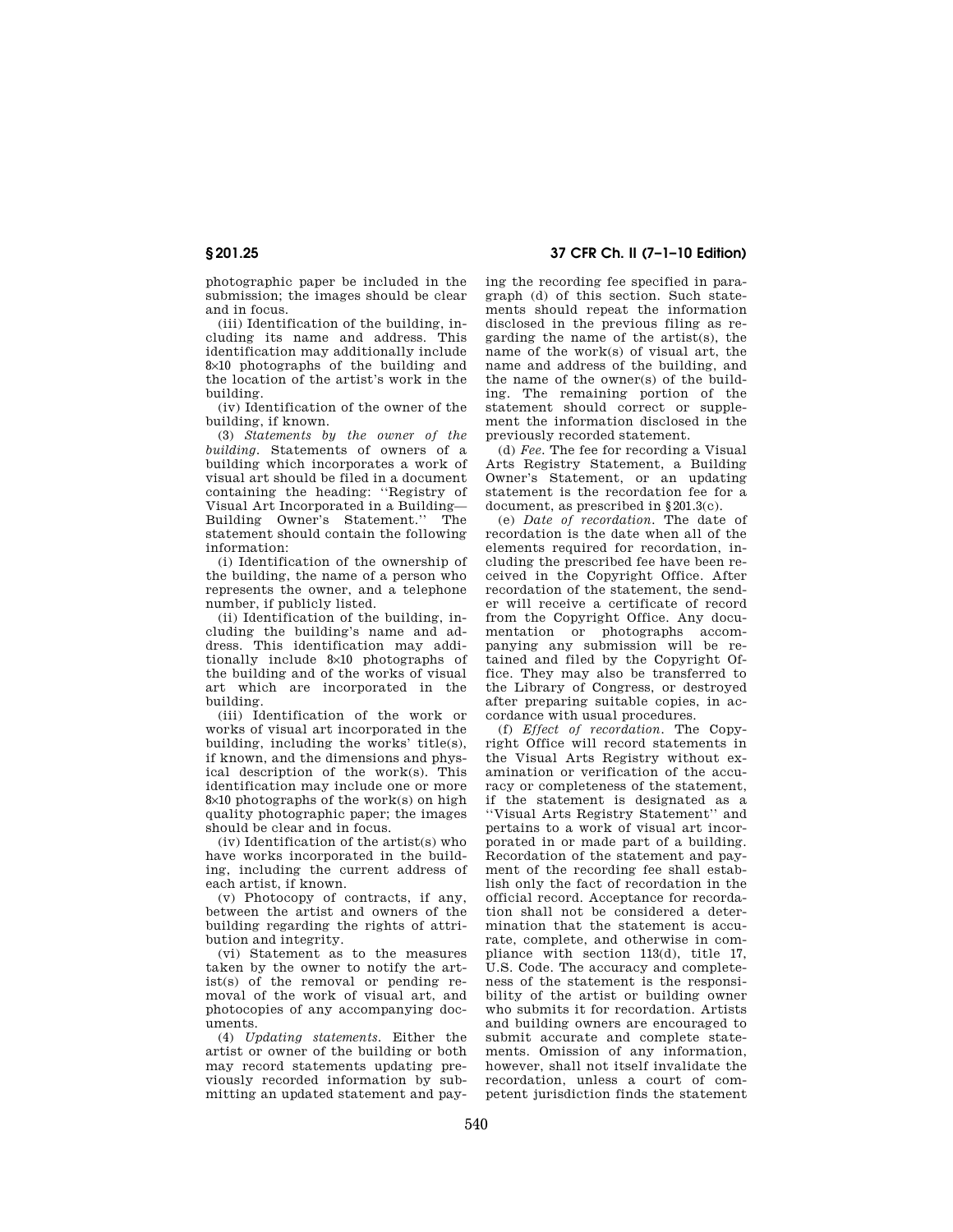photographic paper be included in the submission; the images should be clear and in focus.

(iii) Identification of the building, including its name and address. This identification may additionally include 8×10 photographs of the building and the location of the artist's work in the building.

(iv) Identification of the owner of the building, if known.

(3) *Statements by the owner of the building.* Statements of owners of a building which incorporates a work of visual art should be filed in a document containing the heading: ''Registry of Visual Art Incorporated in a Building— Building Owner's Statement.'' The statement should contain the following information:

(i) Identification of the ownership of the building, the name of a person who represents the owner, and a telephone number, if publicly listed.

(ii) Identification of the building, including the building's name and address. This identification may additionally include 8×10 photographs of the building and of the works of visual art which are incorporated in the building.

(iii) Identification of the work or works of visual art incorporated in the building, including the works' title(s), if known, and the dimensions and physical description of the work(s). This identification may include one or more  $8\times10$  photographs of the work(s) on high quality photographic paper; the images should be clear and in focus.

(iv) Identification of the artist(s) who have works incorporated in the building, including the current address of each artist, if known.

(v) Photocopy of contracts, if any, between the artist and owners of the building regarding the rights of attribution and integrity.

(vi) Statement as to the measures taken by the owner to notify the artist(s) of the removal or pending removal of the work of visual art, and photocopies of any accompanying documents.

(4) *Updating statements.* Either the artist or owner of the building or both may record statements updating previously recorded information by submitting an updated statement and pay-

# **§ 201.25 37 CFR Ch. II (7–1–10 Edition)**

ing the recording fee specified in paragraph (d) of this section. Such statements should repeat the information disclosed in the previous filing as regarding the name of the artist(s), the name of the work(s) of visual art, the name and address of the building, and the name of the owner(s) of the building. The remaining portion of the statement should correct or supplement the information disclosed in the previously recorded statement.

(d) *Fee.* The fee for recording a Visual Arts Registry Statement, a Building Owner's Statement, or an updating statement is the recordation fee for a document, as prescribed in §201.3(c).

(e) *Date of recordation.* The date of recordation is the date when all of the elements required for recordation, including the prescribed fee have been received in the Copyright Office. After recordation of the statement, the sender will receive a certificate of record from the Copyright Office. Any documentation or photographs accompanying any submission will be retained and filed by the Copyright Office. They may also be transferred to the Library of Congress, or destroyed after preparing suitable copies, in accordance with usual procedures.

(f) *Effect of recordation.* The Copyright Office will record statements in the Visual Arts Registry without examination or verification of the accuracy or completeness of the statement. if the statement is designated as a ''Visual Arts Registry Statement'' and pertains to a work of visual art incorporated in or made part of a building. Recordation of the statement and payment of the recording fee shall establish only the fact of recordation in the official record. Acceptance for recordation shall not be considered a determination that the statement is accurate, complete, and otherwise in compliance with section 113(d), title 17, U.S. Code. The accuracy and completeness of the statement is the responsibility of the artist or building owner who submits it for recordation. Artists and building owners are encouraged to submit accurate and complete statements. Omission of any information, however, shall not itself invalidate the recordation, unless a court of competent jurisdiction finds the statement